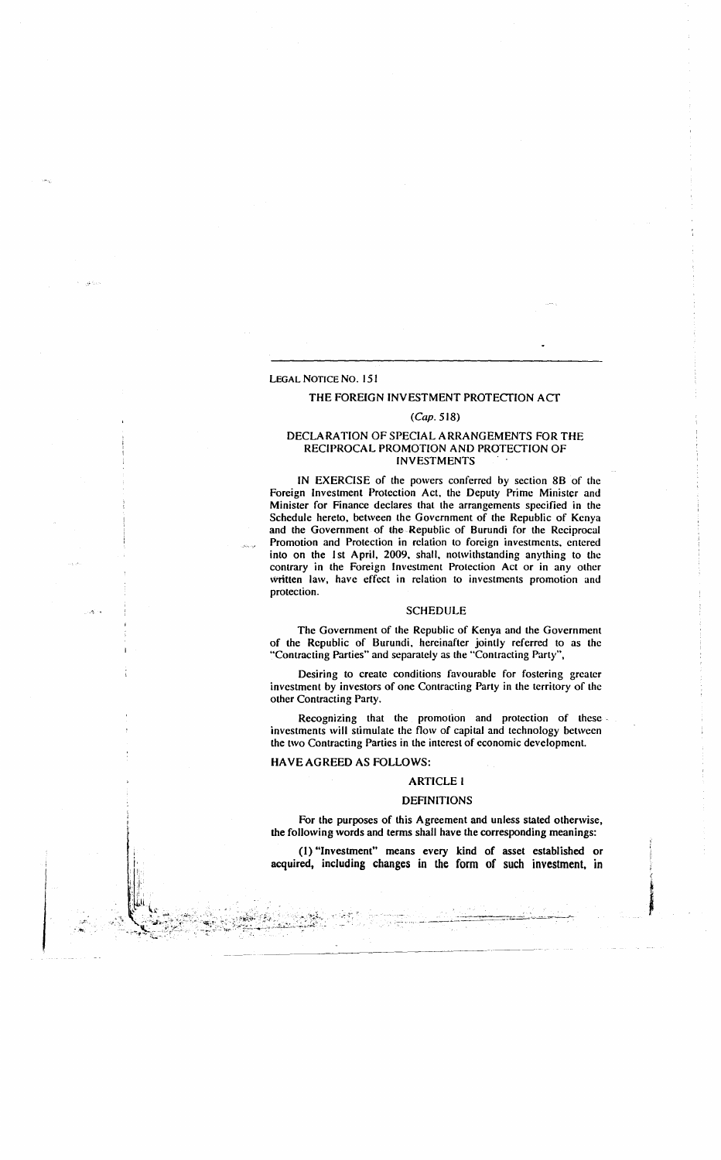# LEGAL NOTICE No. 151

# THE FOREIGN INVESTMENT PROTECTION ACT

### (Cap. 518)

### DECLARATION OF SPECIAL ARRANGEMENTS FOR THE RECIPROCAL PROMOTION AND PROTECTION OF INVESTMENTS

IN EXERCISE of the powers conferred by section 8B of the Foreign Investment Protection Act, the Deputy Prime Minister and Minister for Finance declares that the arrangements specified in the Schedule hereto, between the Government of the Republic of Kenya and the Government of the Republic of Burundi for the Reciprocal Promotion and Protection in relation to foreign investments, entered into on the 1st April, 2009, shall, notwithstanding anything to the contrary in the Foreign Investment Protection Act or in any other written law, have effect in relation to investments promotion and protection.

#### SCHEDULE

The Government of the Republic of Kenya and the Government of the Republic of Burundi, hereinafter jointly referred to as the "Contracting Parties" and separately as the "Contracting Party",

Desiring to create conditions favourable for fostering greater investment by investors of one Contracting Party in the territory of the other Contracting Party.

Recognizing that the promotion and protection of these investments will stimulate the flow of capital and technology between the two Contracting Parties in the interest of economic development.

#### HAVE AGREED AS FOLLOWS:

- .1t,

### ARTICLE I

#### DEFINITIONS

For the purposes of this Agreement and unless stated otherwise, the following words and terms shall have the corresponding meanings:

(I) "Investment" means every kind of asset established or acquired, including changes in the form of such investment, in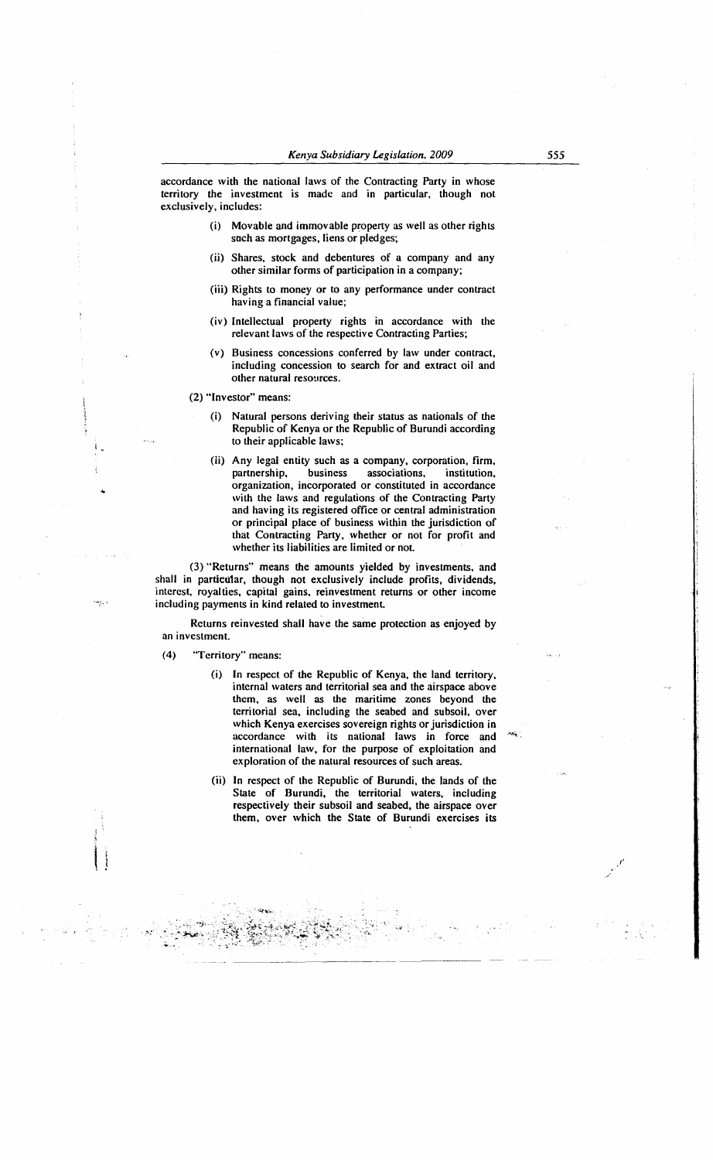accordance with the national laws of the Contracting Party in whose territory the investment is made and in particular, though not exclusively, includes:

- (i) Movable and immovable property as well as other rights such as mortgages, liens or pledges;
- (ii) Shares, stock and debentures of a company and any other similar forms of participation in a company;
- (iii) Rights to money or to any performance under contract having a financial value;
- (iv) Intellectual property rights in accordance with the relevant laws of the respective Contracting Parties;
- (v) Business concessions conferred by law under contract, including concession to search for and extract oil and other natural resources.

(2) "Investor" means:

 $\mathsf{I}$  .

- (i) Natural persons deriving their status as nationals of the Republic of Kenya or the Republic of Burundi according to their applicable laws;
- (ii) Any legal entity such as a company, corporation, firm, partnership, business associations, institution, organization, incorporated or constituted in accordance with the laws and regulations of the Contracting Party and having its registered office or central administration or principal place of business within the jurisdiction of that Contracting Party, whether or not for profit and whether its liabilities are limited or not

(3) "Returns" means the amounts yielded by investments, and shall in particular, though not exclusively include profits, dividends, interest, royalties, capital gains, reinvestment returns or other income including payments in kind related to investment.

Returns reinvested shall have the same protection as enjoyed by an investment.

(4) "Territory" means:

*--.:* \_. , -~ ~~- \_ \_ ~i\*.- :~:;:~~r:.~-~;~~~~t~{ =, - ·-.. ... ;o.· ~:.:: . -

- (i) In respect of the Republic of Kenya, the land territory, internal waters and territorial sea and the airspace above them, as well as the maritime zones beyond the territorial sea, including the seabed and subsoil, over which Kenya exercises sovereign rights or jurisdiction in accordance with its national laws in force and international law, for the purpose of exploitation and exploration of the natural resources of such areas.
- (ii) In respect of the Republic of Burundi, the lands of the State of Burundi, the territorial waters, including respectively their subsoil and seabed, the airspace over them, over which the State of Burundi exercises its

• >"-'I" <sup>~</sup>  $\cdot$  :

*555* 

.. ··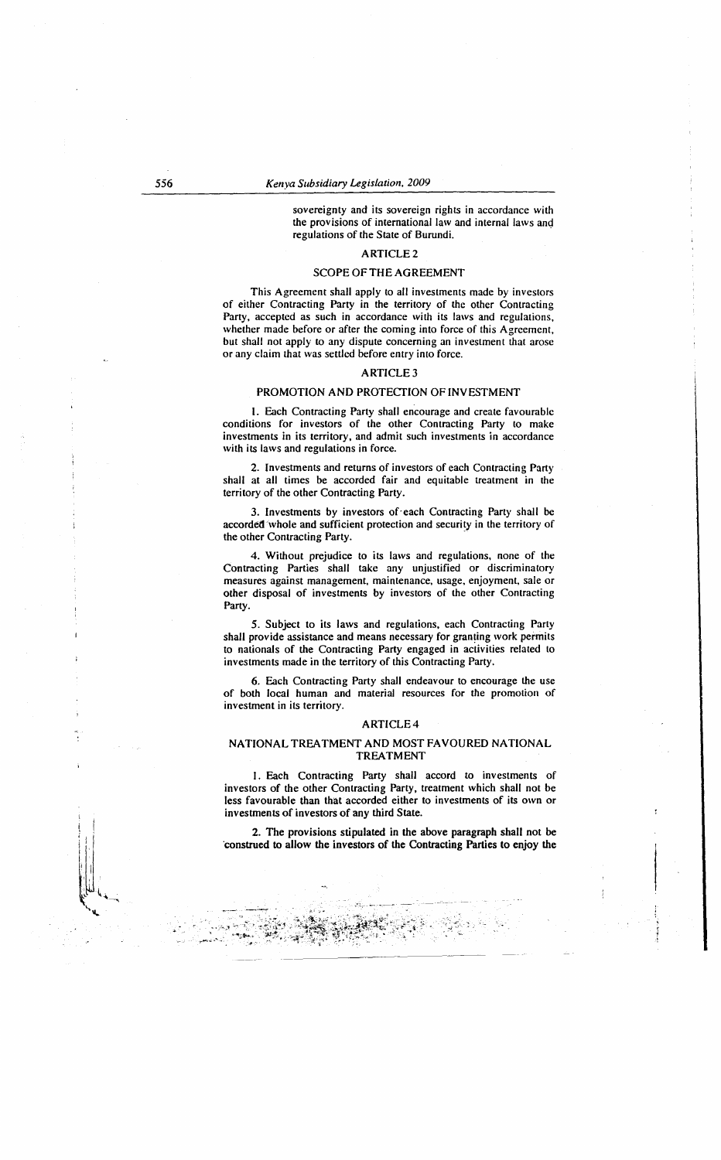sovereignty and its sovereign rights in accordance with the provisions of international law and internal laws and regulations of the State of Burundi.

# ARTICLE2

### SCOPE OF THE AGREEMENT

This Agreement shall apply to all investments made by investors of either Contracting Party in the territory of the other Contracting Party, accepted as such in accordance with its laws and regulations, whether made before or after the coming into force of this Agreement, but shall not apply to any dispute concerning an investment that arose or any claim that was settled before entry into force.

### ARTICLE3

### PROMOTION AND PROTECfiON OF INVESTMENT

I. Each Contracting Party shall encourage and create favourable conditions for investors of the other Contracting Party to make investments in its territory, and admit such investments in accordance with its laws and regulations in force.

2. Investments and returns of investors of each Contracting Party shall at all times be accorded fair and equitable treatment in the territory of the other Contracting Party.

3. Investments by investors of·each Contracting Party shall be accorded 'whole and sufficient protection and security in the territory of the other Contracting Party.

4. Without prejudice to its laws and regulations, none of the Contracting Parties shall take any unjustified or discriminatory measures against management, maintenance, usage, enjoyment, sale or other disposal of investments by investors of the other Contracting Party.

5. Subject to its laws and regulations, each Contracting Party shall provide assistance and means necessary for granting work permits to nationals of the Contracting Party engaged in activities related to investments made in the territory of this Contracting Party.

6. Each Contracting Party shall endeavour to encourage the use of both local human and material resources for the promotion of investment in its territory.

#### ARTICLE4

### NATIONAL TREATMENT AND MOST FAVOURED NATIONAL TREATMENT

I. Each Contracting Party shall accord to investments of investors of the other Contracting Party, treatment which shall not be less favourable than that accorded either to investments of its own or investments of investors of any third State.

2. The provisions stipulated in the above paragraph shall not be ·construed to allow the investors of the Contracting Parties to enjoy the

:-~~:·· -·~--- ·--

Ť

وي مي الله ال<mark>هامات الس</mark>ب

 $\frac{1}{2}$ ,  $\frac{1}{2}$ ,  $\frac{1}{2}$ ,  $\frac{1}{2}$ ,  $\frac{1}{2}$ ,  $\frac{1}{2}$ ,  $\frac{1}{2}$ ,  $\frac{1}{2}$ ,  $\frac{1}{2}$ ,  $\frac{1}{2}$ ,  $\frac{1}{2}$ ,  $\frac{1}{2}$ ,  $\frac{1}{2}$ ,  $\frac{1}{2}$ ,  $\frac{1}{2}$ ,  $\frac{1}{2}$ ,  $\frac{1}{2}$ ,  $\frac{1}{2}$ ,  $\frac{1}{2}$ ,  $\frac{1}{2}$ ,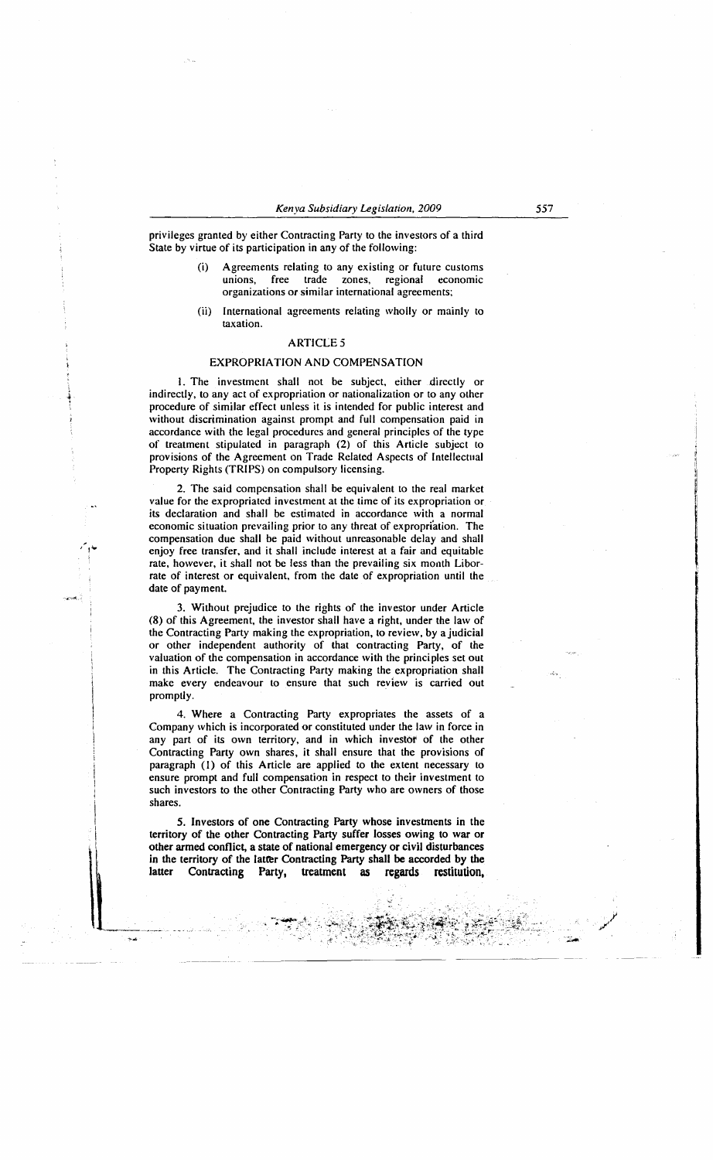privileges granted by either Contracting Party to the investors of a third State by virtue of its participation in any of the following:

- (i) Agreements relating to any existing or future customs unions, free trade zones, regional economic organizations or similar international agreements;
- (ii) International agreements relating wholly or mainly to taxation.

# **ARTICLE 5**

### EXPROPRIATION AND COMPENSATION

I. The investment shall not be subject, either .directly or indirectly, to any act of expropriation or nationalization or to any other procedure of similar effect unless it is intended for public interest and without discrimination against prompt and full compensation paid in accordance with the legal procedures and general principles of the type of treatment stipulated in paragraph (2) of this Article subject to provisions of the Agreement on Trade Related Aspects of Intellectual Property Rights (TRIPS) on compulsory licensing.

2. The said compensation shall be equivalent to the real market value for the expropriated investment at the time of its expropriation or its declaration and shall be estimated in accordance with a normal economic situation prevailing prior to any threat of expropriation. The compensation due shall be paid without unreasonable delay and shall enjoy free transfer, and it shall include interest at a fair and equitable rate, however, it shall not be less than the prevailing six month Liborrate of interest or equivalent, from the date of expropriation until the date of payment.

3. Without prejudice to the rights of the investor under Article (8) of this Agreement, the investor shall have a right, under the law of the Contracting Party making the expropriation, to review, by a judicial or other independent authority of that contracting Party, of the valuation of the compensation in accordance with the principles set out in this Article. The Contracting Party making the expropriation shall make every endeavour to ensure that such review is carried out promptly.

4. Where a Contracting Party expropriates the assets of a Company which is incorporated or constituted under the law in force in any part of its own territory, and in which investor of the other Contracting Party own shares, it shall ensure that the provisions of paragraph (I) of this Article are applied to the extent necessary to ensure prompt and full compensation in respect to their investment to such investors to the other Contracting Party who are owners of those shares.

i I  $\vert$ I I I

*5.* Investors of one Contracting Party whose investments in the territory of the other Contracting Party suffer losses owing to war or other armed conflict, a state of national emergency or civil disturbances in the territory of the latter Contracting Party shall be accorded by the latter Contracting Party, treatment as regards restitution, latter Contracting Party, treatment as regards restitution,

,::.:,.

~~~~~-·--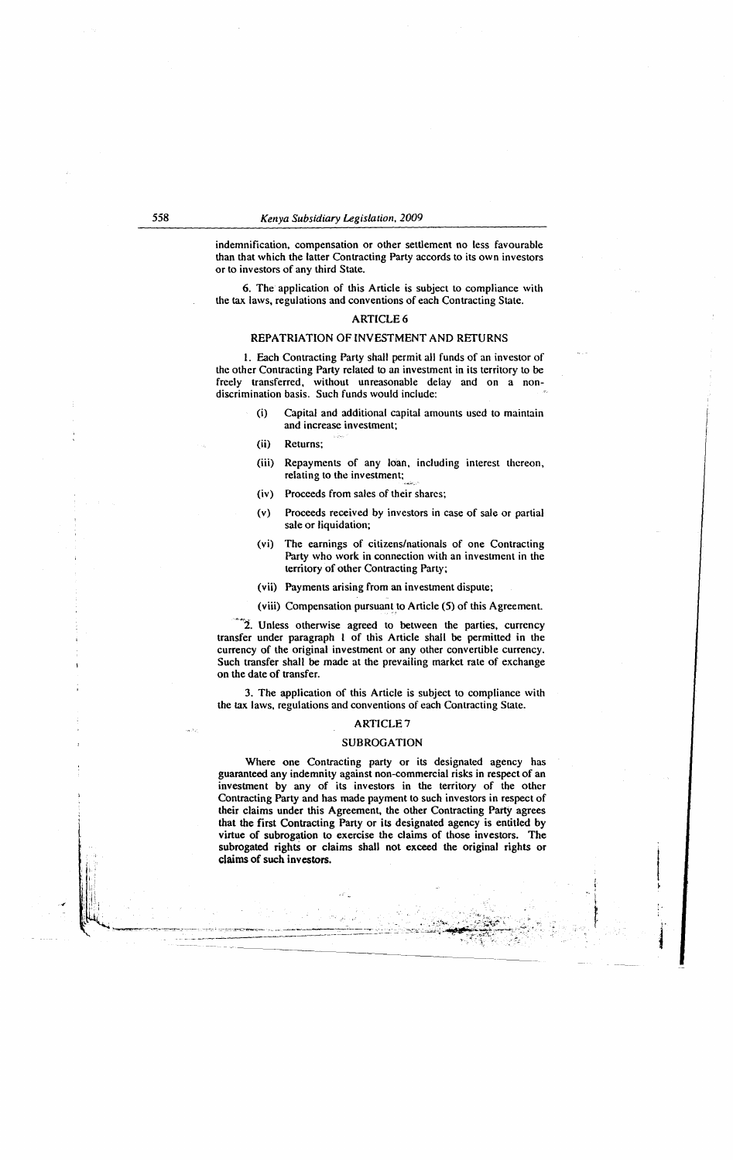indemnification, compensation or other settlement no less favourable than that which the latter Contracting Party accords to its own investors or to investors of any third State.

6. The application of this Article is subject to compliance with the tax laws, regulations and conventions of each Contracting State.

#### ARTICLE 6

### REPATRIATION OF INVESTMENT AND RETURNS

l. Each Contracting Party shall permit all funds of an investor of the other Contracting Party related to an investment in its territory to be freely transferred, without unreasonable delay and on a nondiscrimination basis. Such funds would include:

- (i) Capital and additional capital amounts used to maintain and increase investment;
- (ii) Returns;
- (iii) Repayments of any loan, including interest thereon, relating to the investment;
- (iv) Proceeds from sales of their shares;
- (v) Proceeds received by investors in case of sale or partial sale or liquidation;
- (vi) The earnings of citizens/nationals of one Contracting Party who work in connection with an investment in the territory of other Contracting Party;
- (vii) Payments arising from an investment dispute;
- (viii) Compensation pursuant\_to Article (5) of this Agreement.

"2. Unless otherwise agreed to between the parties, currency transfer under paragraph l of this Article shall be permitted in the currency of the original investment or any other convertible currency. Such transfer shall be made at the prevailing market rate of exchange on the date of transfer.

3. The application of this Article is subject to compliance with the tax laws, regulations and conventions of each Contracting State.

# ARTICLE7

### SUBROGATION

Where one Contracting party or its designated agency has guaranteed any indemnity against non-commercial risks in respect of an investment by any of its investors in the territory of the other Contracting Party and has made payment to such investors in respect of their claims under this Agreement, the other Contracting Party agrees that the first Contracting Party or its designated agency is entitled by virtue of subrogation to exercise the claims of those investors. The subrogated rights or claims shall not exceed the original rights or claims of such investors.

i

f: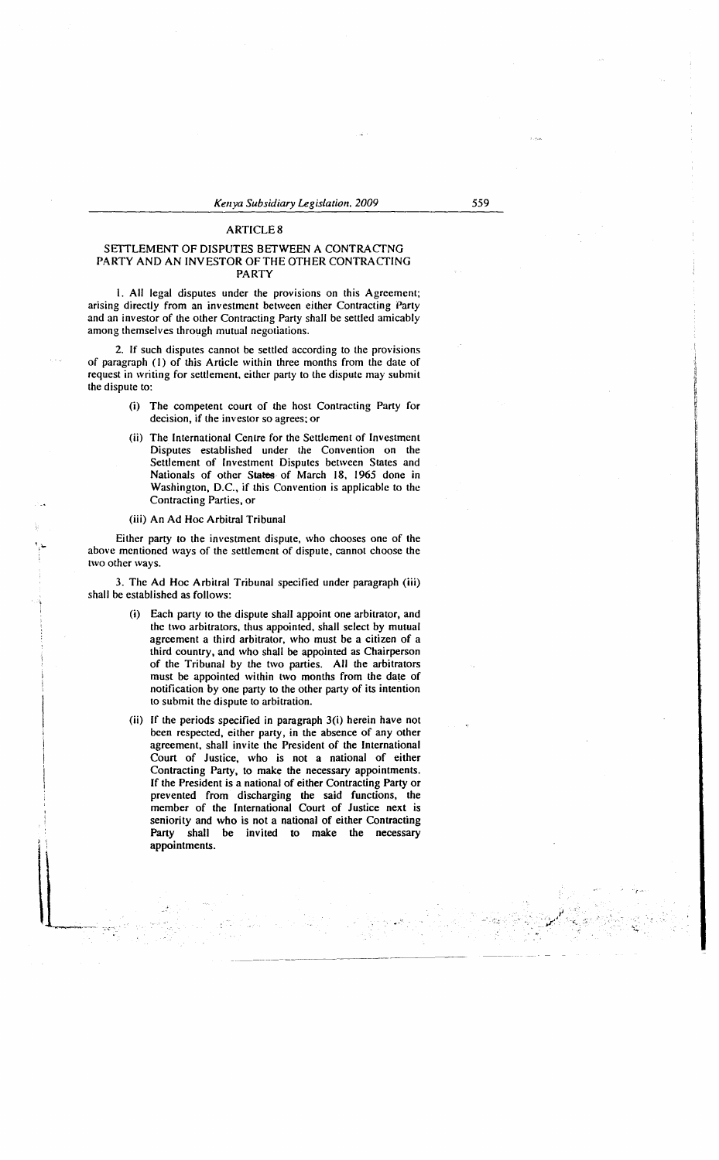# ARTICLES

### SETTLEMENT OF DISPUTES BETWEEN A CONTRACTNG PARTY AND AN INVESTOR OF THE OTHER CONTRACTING PARTY

I. All legal disputes under the provisions on this Agreement; arising directly from an investment between either Contracting Party and an investor of the other Contracting Party shall be settled amicably among themselves through mutual negotiations.

2. If such disputes cannot be settled according to the provisions of paragraph (I) of this Article within three months from the date of request in writing for settlement, either party to the dispute may submit the dispute to:

- (i) The competent court of the host Contracting Party for decision, if the investor so agrees: or
- (ii) The International Centre for the Settlement of Investment Disputes established under the Convention on the Settlement of Investment Disputes between States and Nationals of other States of March 18, 1965 done in Washington, D.C., if this Convention is applicable to the Contracting Parties, or
- (iii) An Ad Hoc Arbitral Tribunal

Either party to the investment dispute, who chooses one of the above mentioned ways of the settlement of dispute, cannot choose the two other ways.

3. The Ad Hoc Arbitral Tribunal specified under paragraph (iii) shall be established as follows:

- Each party to the dispute shall appoint one arbitrator, and the two arbitrators, thus appointed, shall select by mutual agreement a third arbitrator, who must be a citizen of a third country, and who shall be appointed as Chairperson of the Tribunal by the two parties. All the arbitrators must be appointed within two months from the date of notification by one party to the other party of its intention to submit the dispute to arbitration.
- (ii) If the periods specified in paragraph 3(i) herein have not been respected, either party, in the absence of any other agreement, shall invite the President of the International Court of Justice, who is not a national of either Contracting Party, to make the necessary appointments. If the President is a national of either Contracting Party or prevented from discharging the said functions, the member of the International Court of Justice next is seniority and who is not a national of either Contracting Party shall be invited to make the necessary appointments.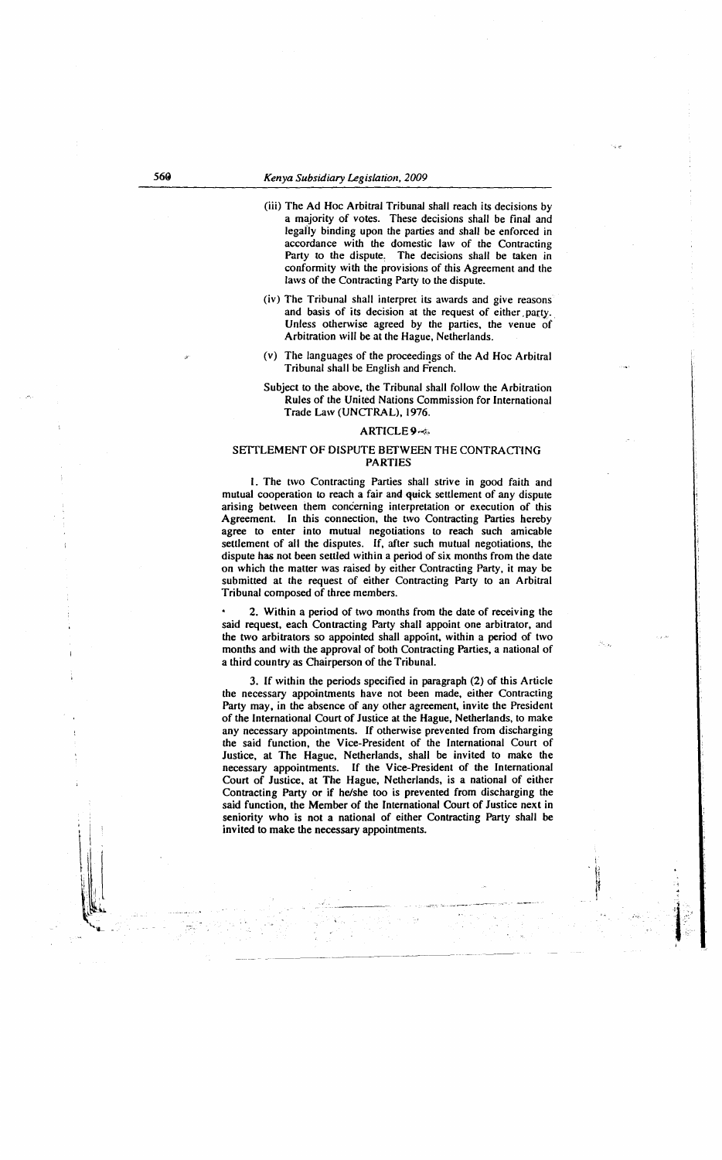- (iii) The Ad Hoc Arbitral Tribunal shall reach its decisions by a majority of votes. These decisions shall be final and legally binding upon the parties and shall be enforced in accordance with the domestic law of the Contracting Party to the dispute, The decisions shall be taken in conformity with the provisions of this Agreement and the laws of the Contracting Party to the dispute.
- (iv) The Tribunal shall interpret its awards and give reasons and basis of its decision at the request of either party. Unless otherwise agreed by the parties, the venue of Arbitration will be at the Hague, Netherlands.
- (v) The languages of the proceedings of the Ad Hoc Arbitral Tribunal shall be English and French.

### Subject to the above, the Tribunal shall follow the Arbitration Rules of the United Nations Commission for International Trade Law (UNCTRAL), 1976.

### ARTICLE<sub>9~</sub>

### SETTLEMENT OF DISPUTE BETWEEN THE CONTRACTING PARTIES

I. The two Contracting Parties shall strive in good faith and mutual cooperation to reach a fair and quick settlement of any dispute arising between them concerning interpretation or execution of this Agreement. In this connection, the two Contracting Parties hereby agree to enter into mutual negotiations to reach such amicable settlement of all the disputes. If, after such mutual negotiations, the dispute has not been settled within a period of six months from the date on which the matter was raised by either Contracting Party, it may be submitted at the request of either Contracting Party to an Arbitral Tribunal composed of three members.

2. Within a period of two months from the date of receiving the said request, each Contracting Party shall appoint one arbitrator, and the two arbitrators so appointed shall appoint, within a period of two months and with the approval of both Contracting Parties, a national of a third country as Chairperson of the Tribunal.

3. If within the periods specified in paragraph (2) of this Article the necessary appointments have not been made, either Contracting Party may, in the absence of any other agreement, invite the President of the International Court of Justice at the Hague, Netherlands, to make any necessary appointments. If otherwise prevented from discharging the said function, the Vice-President of the International Court of Justice, at The Hague, Netherlands, shall be invited to make the necessary appointments. If the Vice-President of the International Court of Justice, at The Hague, Netherlands, is a national of either Contracting Party or if he/she too is prevented from discharging the said function, the Member of the International Court of Justice next in seniority who is not a national of either Contracting Party shall be invited to make the necessary appointments. - ------- -----

 $\ddot{\ddot{\imath}}$ ·p (t  $^{\circ}$ 

 $\mathbf{1}$  .

.<

 $\cdot$  ' . I I . '

\ ill

 $\mathbf{r}$ IL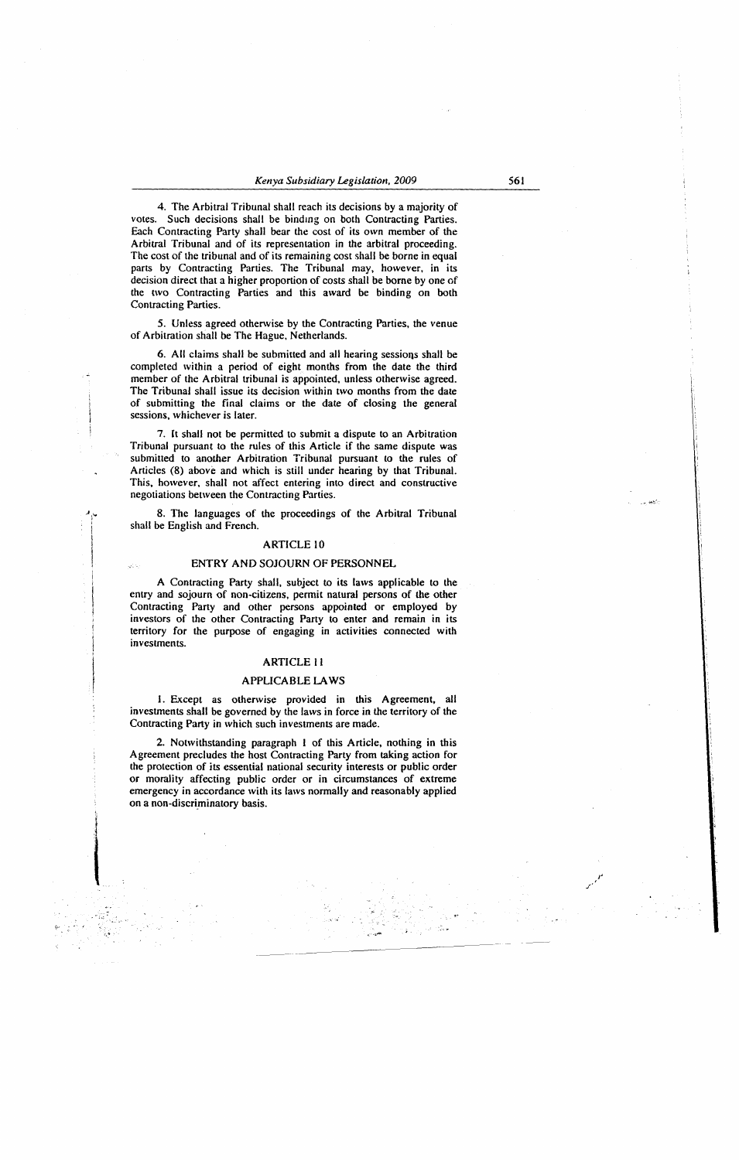4. The Arbitral Tribunal shall reach its decisions by a majority of votes. Such decisions shall be binding on both Contracting Parties. Each Contracting Party shall bear the cost of its own member of the Arbitral Tribunal and of its representation in the arbitral proceeding. The cost of the tribunal and of its remaining cost shall be borne in equal parts by Contracting Parties. The Tribunal may, however, in its decision direct that a higher proportion of costs shall be borne by one of the two Contracting Parties and this award be binding on both Contracting Parties.

5. Unless agreed otherwise by the Contracting Parties, the venue of Arbitration shall be The Hague, Netherlands.

6. All claims shall be submitted and all hearing sessions shall be completed within a period of eight months from the date the third member of the Arbitral tribunal is appointed, unless otherwise agreed. The Tribunal shall issue its decision within two months from the date of submitting the final claims or the date of closing the general sessions, whichever is later.

7. lt shall not be permitted to submit a dispute to an Arbitration Tribunal pursuant to the rules of this Article if the same dispute was submitted to another Arbitration Tribunal pursuant to the rules of Articles (8) above and which is still under hearing by that Tribunal. This, however, shall not affect entering into direct and constructive negotiations between the Contracting Parties.

8. The languages of the proceedings of the Arbitral Tribunal shall be English and French.

### ARTICLE lO

# ENTRY AND SOJOURN OF PERSONNEL

A Contracting Party shall, subject to its laws applicable to the entry and sojourn of non-citizens, permit natural persons of the other Contracting Party and other persons appointed or employed by investors of the other Contracting Party to enter and remain in its territory for the purpose of engaging in activities connected with investments.

### ARTICLE II

### APPLICABLE LAWS

l. Except as otherwise provided in this Agreement, all investments shall be governed by the laws in force in the territory of the Contracting Party in which such investments are made.

2. Notwithstanding paragraph I of this Article, nothing in this Agreement precludes the host Contracting Party from taking action for the protection of its essential national security interests or public order or morality affecting public order or in circumstances of extreme emergency in accordance with its laws normally and reasonably applied on a non-discriminatory basis.

•''">--

, ..

 $\tilde{\phantom{a}}$   $\sim$  $\mathsf{l}$ 

 $\begin{picture}(20,20) \put(0,0){\dashbox{0.5}(20,0){ }} \put(15,0){\dashbox{0.5}(20,0){ }} \put(25,0){\dashbox{0.5}(20,0){ }} \put(25,0){\dashbox{0.5}(20,0){ }} \put(25,0){\dashbox{0.5}(20,0){ }} \put(25,0){\dashbox{0.5}(20,0){ }} \put(25,0){\dashbox{0.5}(20,0){ }} \put(25,0){\dashbox{0.5}(20,0){ }} \put(25,0){\dashbox{0.5}(20,0){ }} \put(25,0){\dashbox{$ 

' little state and state of the state of the state of the state of the state of the state of the state of the s<br>The state of the state of the state of the state of the state of the state of the state of the state of the st

la propinsi Santa La Caractería<br>La componenta de la componenta de la componenta de la componenta de la componenta de la componenta de la compo<br>La componenta de la componenta de la componenta de la componenta de la componen

;

561